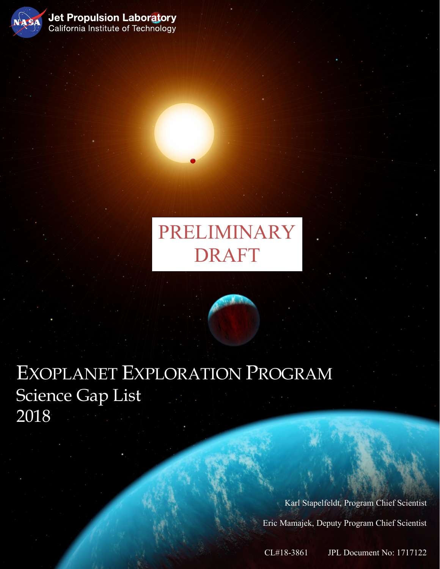

Jet Propulsion Laboratory<br>California Institute of Technology

PRELIMINARY DRAFT

EXOPLANET EXPLORATION PROGRAM Science Gap List 2018

Dr. Gary Blackwood Date

Karl Stapelfeldt, Program Chief Scientist Eric Mamajek, Deputy Program Chief Scientist

CL#18-3861 JPL Document No: 1717122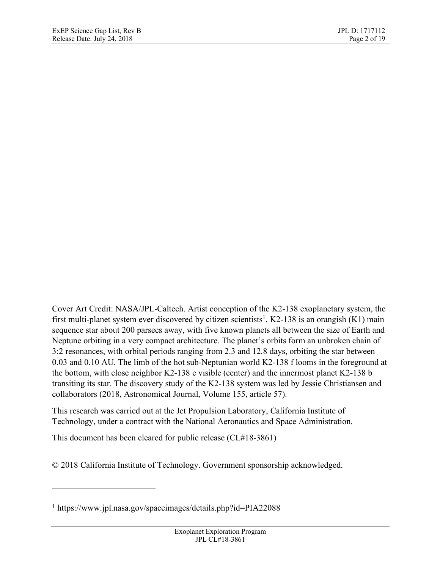Cover Art Credit: NASA/JPL-Caltech. Artist conception of the K2-138 exoplanetary system, the first multi-planet system ever discovered by citizen scientists<sup>1</sup>. K2-138 is an orangish  $(K1)$  main sequence star about 200 parsecs away, with five known planets all between the size of Earth and Neptune orbiting in a very compact architecture. The planet's orbits form an unbroken chain of 3:2 resonances, with orbital periods ranging from 2.3 and 12.8 days, orbiting the star between 0.03 and 0.10 AU. The limb of the hot sub-Neptunian world K2-138 f looms in the foreground at the bottom, with close neighbor K2-138 e visible (center) and the innermost planet K2-138 b transiting its star. The discovery study of the K2-138 system was led by Jessie Christiansen and collaborators (2018, Astronomical Journal, Volume 155, article 57).

This research was carried out at the Jet Propulsion Laboratory, California Institute of Technology, under a contract with the National Aeronautics and Space Administration.

This document has been cleared for public release (CL#18-3861)

© 2018 California Institute of Technology. Government sponsorship acknowledged.

1

<sup>1</sup> https://www.jpl.nasa.gov/spaceimages/details.php?id=PIA22088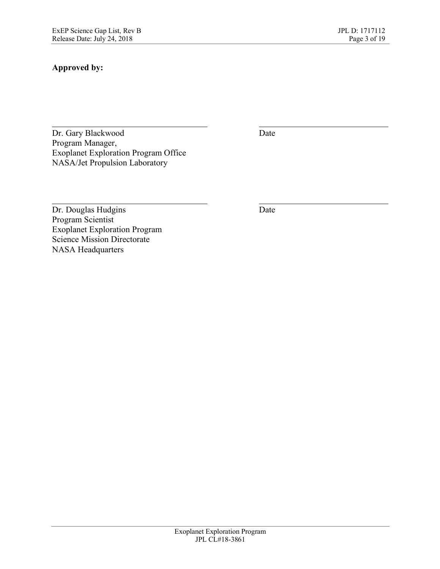# **Approved by:**

Dr. Gary Blackwood Date Program Manager, Exoplanet Exploration Program Office NASA/Jet Propulsion Laboratory

Dr. Douglas Hudgins Date Program Scientist Exoplanet Exploration Program Science Mission Directorate NASA Headquarters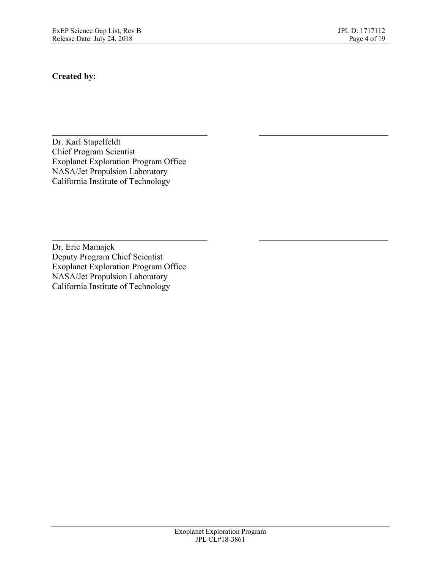### **Created by:**

Dr. Karl Stapelfeldt Chief Program Scientist Exoplanet Exploration Program Office NASA/Jet Propulsion Laboratory California Institute of Technology

Dr. Eric Mamajek Deputy Program Chief Scientist Exoplanet Exploration Program Office NASA/Jet Propulsion Laboratory California Institute of Technology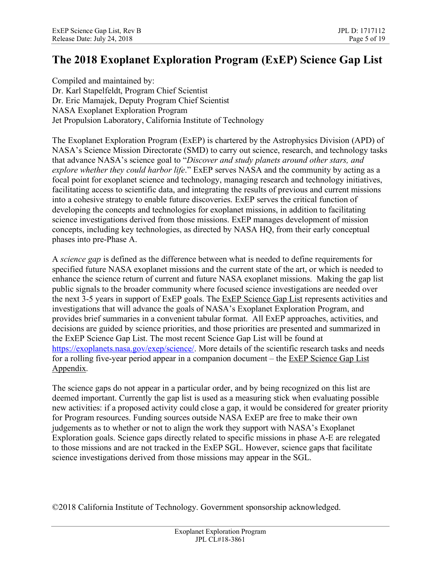# **The 2018 Exoplanet Exploration Program (ExEP) Science Gap List**

Compiled and maintained by: Dr. Karl Stapelfeldt, Program Chief Scientist Dr. Eric Mamajek, Deputy Program Chief Scientist NASA Exoplanet Exploration Program Jet Propulsion Laboratory, California Institute of Technology

The Exoplanet Exploration Program (ExEP) is chartered by the Astrophysics Division (APD) of NASA's Science Mission Directorate (SMD) to carry out science, research, and technology tasks that advance NASA's science goal to "*Discover and study planets around other stars, and explore whether they could harbor life*." ExEP serves NASA and the community by acting as a focal point for exoplanet science and technology, managing research and technology initiatives, facilitating access to scientific data, and integrating the results of previous and current missions into a cohesive strategy to enable future discoveries. ExEP serves the critical function of developing the concepts and technologies for exoplanet missions, in addition to facilitating science investigations derived from those missions. ExEP manages development of mission concepts, including key technologies, as directed by NASA HQ, from their early conceptual phases into pre-Phase A.

A *science gap* is defined as the difference between what is needed to define requirements for specified future NASA exoplanet missions and the current state of the art, or which is needed to enhance the science return of current and future NASA exoplanet missions. Making the gap list public signals to the broader community where focused science investigations are needed over the next 3-5 years in support of ExEP goals. The ExEP Science Gap List represents activities and investigations that will advance the goals of NASA's Exoplanet Exploration Program, and provides brief summaries in a convenient tabular format. All ExEP approaches, activities, and decisions are guided by science priorities, and those priorities are presented and summarized in the ExEP Science Gap List. The most recent Science Gap List will be found at https://exoplanets.nasa.gov/exep/science/. More details of the scientific research tasks and needs for a rolling five-year period appear in a companion document – the ExEP Science Gap List Appendix.

The science gaps do not appear in a particular order, and by being recognized on this list are deemed important. Currently the gap list is used as a measuring stick when evaluating possible new activities: if a proposed activity could close a gap, it would be considered for greater priority for Program resources. Funding sources outside NASA ExEP are free to make their own judgements as to whether or not to align the work they support with NASA's Exoplanet Exploration goals. Science gaps directly related to specific missions in phase A-E are relegated to those missions and are not tracked in the ExEP SGL. However, science gaps that facilitate science investigations derived from those missions may appear in the SGL.

©2018 California Institute of Technology. Government sponsorship acknowledged.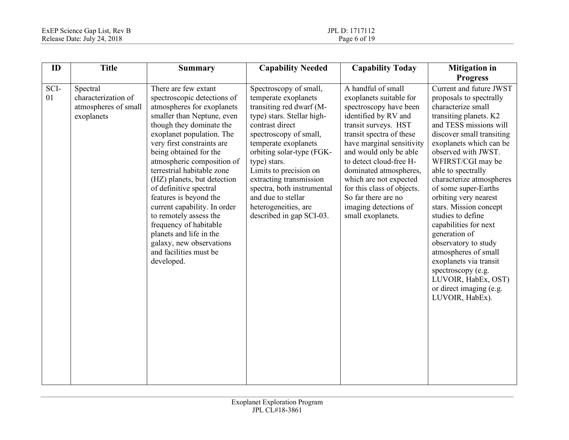| ID         | <b>Title</b>                                                          | <b>Summary</b>                                                                                                                                                                                                                                                                                                                                                                                                                                                                                                                                                     | <b>Capability Needed</b>                                                                                                                                                                                                                                                                                                                                                                | <b>Capability Today</b>                                                                                                                                                                                                                                                                                                                                                                      | <b>Mitigation</b> in                                                                                                                                                                                                                                                                                                                                                                                                                                                                                                                                                                              |
|------------|-----------------------------------------------------------------------|--------------------------------------------------------------------------------------------------------------------------------------------------------------------------------------------------------------------------------------------------------------------------------------------------------------------------------------------------------------------------------------------------------------------------------------------------------------------------------------------------------------------------------------------------------------------|-----------------------------------------------------------------------------------------------------------------------------------------------------------------------------------------------------------------------------------------------------------------------------------------------------------------------------------------------------------------------------------------|----------------------------------------------------------------------------------------------------------------------------------------------------------------------------------------------------------------------------------------------------------------------------------------------------------------------------------------------------------------------------------------------|---------------------------------------------------------------------------------------------------------------------------------------------------------------------------------------------------------------------------------------------------------------------------------------------------------------------------------------------------------------------------------------------------------------------------------------------------------------------------------------------------------------------------------------------------------------------------------------------------|
|            |                                                                       |                                                                                                                                                                                                                                                                                                                                                                                                                                                                                                                                                                    |                                                                                                                                                                                                                                                                                                                                                                                         |                                                                                                                                                                                                                                                                                                                                                                                              | <b>Progress</b>                                                                                                                                                                                                                                                                                                                                                                                                                                                                                                                                                                                   |
| SCI-<br>01 | Spectral<br>characterization of<br>atmospheres of small<br>exoplanets | There are few extant<br>spectroscopic detections of<br>atmospheres for exoplanets<br>smaller than Neptune, even<br>though they dominate the<br>exoplanet population. The<br>very first constraints are<br>being obtained for the<br>atmospheric composition of<br>terrestrial habitable zone<br>(HZ) planets, but detection<br>of definitive spectral<br>features is beyond the<br>current capability. In order<br>to remotely assess the<br>frequency of habitable<br>planets and life in the<br>galaxy, new observations<br>and facilities must be<br>developed. | Spectroscopy of small,<br>temperate exoplanets<br>transiting red dwarf (M-<br>type) stars. Stellar high-<br>contrast direct<br>spectroscopy of small,<br>temperate exoplanets<br>orbiting solar-type (FGK-<br>type) stars.<br>Limits to precision on<br>extracting transmission<br>spectra, both instrumental<br>and due to stellar<br>heterogeneities, are<br>described in gap SCI-03. | A handful of small<br>exoplanets suitable for<br>spectroscopy have been<br>identified by RV and<br>transit surveys. HST<br>transit spectra of these<br>have marginal sensitivity<br>and would only be able<br>to detect cloud-free H-<br>dominated atmospheres,<br>which are not expected<br>for this class of objects.<br>So far there are no<br>imaging detections of<br>small exoplanets. | Current and future JWST<br>proposals to spectrally<br>characterize small<br>transiting planets. K2<br>and TESS missions will<br>discover small transiting<br>exoplanets which can be<br>observed with JWST.<br>WFIRST/CGI may be<br>able to spectrally<br>characterize atmospheres<br>of some super-Earths<br>orbiting very nearest<br>stars. Mission concept<br>studies to define<br>capabilities for next<br>generation of<br>observatory to study<br>atmospheres of small<br>exoplanets via transit<br>spectroscopy (e.g.<br>LUVOIR, HabEx, OST)<br>or direct imaging (e.g.<br>LUVOIR, HabEx). |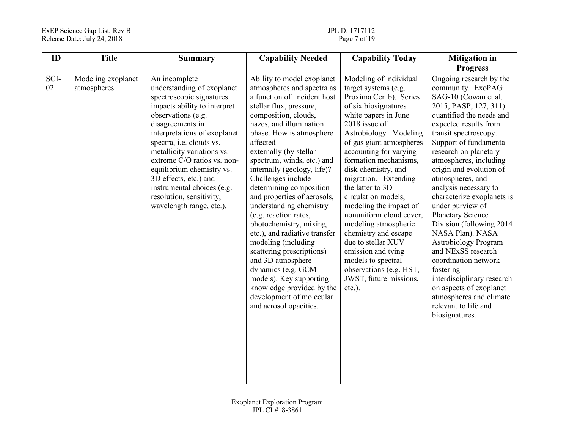| ID         | <b>Title</b>                      | <b>Summary</b>                                                                                                                                                                                                                                                                                                                                                                                                         | <b>Capability Needed</b>                                                                                                                                                                                                                                                                                                                                                                                                                                                                                                                                                                                                                                                                                          | <b>Capability Today</b>                                                                                                                                                                                                                                                                                                                                                                                                                                                                                                                                                               | <b>Mitigation</b> in                                                                                                                                                                                                                                                                                                                                                                                                                                                                                                                                                                                                                                                                                       |
|------------|-----------------------------------|------------------------------------------------------------------------------------------------------------------------------------------------------------------------------------------------------------------------------------------------------------------------------------------------------------------------------------------------------------------------------------------------------------------------|-------------------------------------------------------------------------------------------------------------------------------------------------------------------------------------------------------------------------------------------------------------------------------------------------------------------------------------------------------------------------------------------------------------------------------------------------------------------------------------------------------------------------------------------------------------------------------------------------------------------------------------------------------------------------------------------------------------------|---------------------------------------------------------------------------------------------------------------------------------------------------------------------------------------------------------------------------------------------------------------------------------------------------------------------------------------------------------------------------------------------------------------------------------------------------------------------------------------------------------------------------------------------------------------------------------------|------------------------------------------------------------------------------------------------------------------------------------------------------------------------------------------------------------------------------------------------------------------------------------------------------------------------------------------------------------------------------------------------------------------------------------------------------------------------------------------------------------------------------------------------------------------------------------------------------------------------------------------------------------------------------------------------------------|
| SCI-<br>02 | Modeling exoplanet<br>atmospheres | An incomplete<br>understanding of exoplanet<br>spectroscopic signatures<br>impacts ability to interpret<br>observations (e.g.<br>disagreements in<br>interpretations of exoplanet<br>spectra, i.e. clouds vs.<br>metallicity variations vs.<br>extreme C/O ratios vs. non-<br>equilibrium chemistry vs.<br>3D effects, etc.) and<br>instrumental choices (e.g.<br>resolution, sensitivity,<br>wavelength range, etc.). | Ability to model exoplanet<br>atmospheres and spectra as<br>a function of incident host<br>stellar flux, pressure,<br>composition, clouds,<br>hazes, and illumination<br>phase. How is atmosphere<br>affected<br>externally (by stellar<br>spectrum, winds, etc.) and<br>internally (geology, life)?<br>Challenges include<br>determining composition<br>and properties of aerosols,<br>understanding chemistry<br>(e.g. reaction rates,<br>photochemistry, mixing,<br>etc.), and radiative transfer<br>modeling (including<br>scattering prescriptions)<br>and 3D atmosphere<br>dynamics (e.g. GCM<br>models). Key supporting<br>knowledge provided by the<br>development of molecular<br>and aerosol opacities. | Modeling of individual<br>target systems (e.g.<br>Proxima Cen b). Series<br>of six biosignatures<br>white papers in June<br>2018 issue of<br>Astrobiology. Modeling<br>of gas giant atmospheres<br>accounting for varying<br>formation mechanisms,<br>disk chemistry, and<br>migration. Extending<br>the latter to 3D<br>circulation models,<br>modeling the impact of<br>nonuniform cloud cover,<br>modeling atmospheric<br>chemistry and escape<br>due to stellar XUV<br>emission and tying<br>models to spectral<br>observations (e.g. HST,<br>JWST, future missions,<br>$etc.$ ). | <b>Progress</b><br>Ongoing research by the<br>community. ExoPAG<br>SAG-10 (Cowan et al.<br>2015, PASP, 127, 311)<br>quantified the needs and<br>expected results from<br>transit spectroscopy.<br>Support of fundamental<br>research on planetary<br>atmospheres, including<br>origin and evolution of<br>atmospheres, and<br>analysis necessary to<br>characterize exoplanets is<br>under purview of<br><b>Planetary Science</b><br>Division (following 2014)<br>NASA Plan). NASA<br><b>Astrobiology Program</b><br>and NExSS research<br>coordination network<br>fostering<br>interdisciplinary research<br>on aspects of exoplanet<br>atmospheres and climate<br>relevant to life and<br>biosignatures. |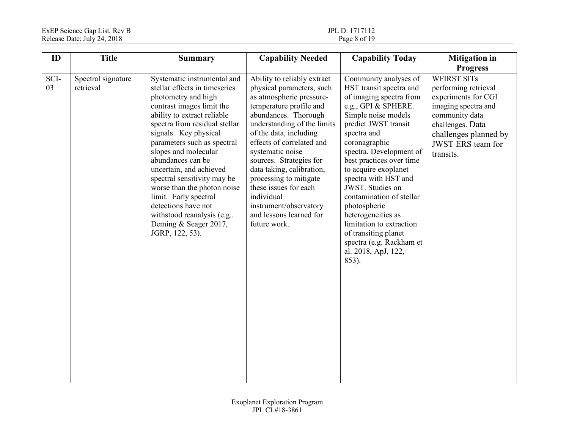| ID         | <b>Title</b>                    | <b>Summary</b>                                                                                                                                                                                                                                                                                                                                                                                                                                                                                          | <b>Capability Needed</b>                                                                                                                                                                                                                                                                                                                                                                                                                        | <b>Capability Today</b>                                                                                                                                                                                                                                                                                                                                                                                                                                                                        | <b>Mitigation</b> in<br><b>Progress</b>                                                                                                                                                          |
|------------|---------------------------------|---------------------------------------------------------------------------------------------------------------------------------------------------------------------------------------------------------------------------------------------------------------------------------------------------------------------------------------------------------------------------------------------------------------------------------------------------------------------------------------------------------|-------------------------------------------------------------------------------------------------------------------------------------------------------------------------------------------------------------------------------------------------------------------------------------------------------------------------------------------------------------------------------------------------------------------------------------------------|------------------------------------------------------------------------------------------------------------------------------------------------------------------------------------------------------------------------------------------------------------------------------------------------------------------------------------------------------------------------------------------------------------------------------------------------------------------------------------------------|--------------------------------------------------------------------------------------------------------------------------------------------------------------------------------------------------|
| SCI-<br>03 | Spectral signature<br>retrieval | Systematic instrumental and<br>stellar effects in timeseries<br>photometry and high<br>contrast images limit the<br>ability to extract reliable<br>spectra from residual stellar<br>signals. Key physical<br>parameters such as spectral<br>slopes and molecular<br>abundances can be<br>uncertain, and achieved<br>spectral sensitivity may be<br>worse than the photon noise<br>limit. Early spectral<br>detections have not<br>withstood reanalysis (e.g<br>Deming & Seager 2017,<br>JGRP, 122, 53). | Ability to reliably extract<br>physical parameters, such<br>as atmospheric pressure-<br>temperature profile and<br>abundances. Thorough<br>understanding of the limits<br>of the data, including<br>effects of correlated and<br>systematic noise<br>sources. Strategies for<br>data taking, calibration,<br>processing to mitigate<br>these issues for each<br>individual<br>instrument/observatory<br>and lessons learned for<br>future work. | Community analyses of<br>HST transit spectra and<br>of imaging spectra from<br>e.g., GPI & SPHERE.<br>Simple noise models<br>predict JWST transit<br>spectra and<br>coronagraphic<br>spectra. Development of<br>best practices over time<br>to acquire exoplanet<br>spectra with HST and<br>JWST. Studies on<br>contamination of stellar<br>photospheric<br>heterogeneities as<br>limitation to extraction<br>of transiting planet<br>spectra (e.g. Rackham et<br>al. 2018, ApJ, 122,<br>853). | <b>WFIRST SITs</b><br>performing retrieval<br>experiments for CGI<br>imaging spectra and<br>community data<br>challenges. Data<br>challenges planned by<br><b>JWST ERS</b> team for<br>transits. |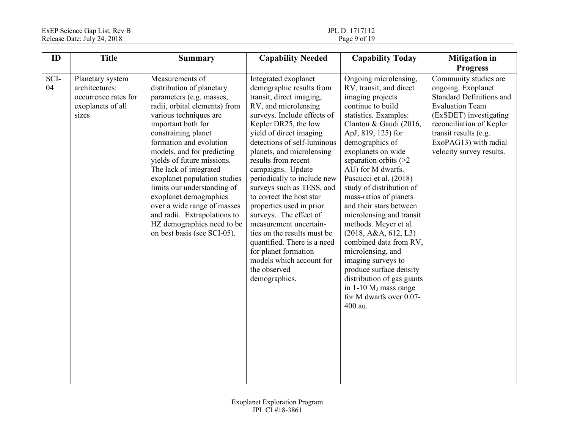| ID         | <b>Title</b>                                                                             | <b>Summary</b>                                                                                                                                                                                                                                                                                                                                                                                                                                                                                                         | <b>Capability Needed</b>                                                                                                                                                                                                                                                                                                                                                                                                                                                                                                                                                                                                  | <b>Capability Today</b>                                                                                                                                                                                                                                                                                                                                                                                                                                                                                                                                                                                                                                         | <b>Mitigation</b> in                                                                                                                                                                                                                         |
|------------|------------------------------------------------------------------------------------------|------------------------------------------------------------------------------------------------------------------------------------------------------------------------------------------------------------------------------------------------------------------------------------------------------------------------------------------------------------------------------------------------------------------------------------------------------------------------------------------------------------------------|---------------------------------------------------------------------------------------------------------------------------------------------------------------------------------------------------------------------------------------------------------------------------------------------------------------------------------------------------------------------------------------------------------------------------------------------------------------------------------------------------------------------------------------------------------------------------------------------------------------------------|-----------------------------------------------------------------------------------------------------------------------------------------------------------------------------------------------------------------------------------------------------------------------------------------------------------------------------------------------------------------------------------------------------------------------------------------------------------------------------------------------------------------------------------------------------------------------------------------------------------------------------------------------------------------|----------------------------------------------------------------------------------------------------------------------------------------------------------------------------------------------------------------------------------------------|
|            |                                                                                          |                                                                                                                                                                                                                                                                                                                                                                                                                                                                                                                        |                                                                                                                                                                                                                                                                                                                                                                                                                                                                                                                                                                                                                           |                                                                                                                                                                                                                                                                                                                                                                                                                                                                                                                                                                                                                                                                 | <b>Progress</b>                                                                                                                                                                                                                              |
| SCI-<br>04 | Planetary system<br>architectures:<br>occurrence rates for<br>exoplanets of all<br>sizes | Measurements of<br>distribution of planetary<br>parameters (e.g. masses,<br>radii, orbital elements) from<br>various techniques are<br>important both for<br>constraining planet<br>formation and evolution<br>models, and for predicting<br>yields of future missions.<br>The lack of integrated<br>exoplanet population studies<br>limits our understanding of<br>exoplanet demographics<br>over a wide range of masses<br>and radii. Extrapolations to<br>HZ demographics need to be<br>on best basis (see SCI-05). | Integrated exoplanet<br>demographic results from<br>transit, direct imaging,<br>RV, and microlensing<br>surveys. Include effects of<br>Kepler DR25, the low<br>yield of direct imaging<br>detections of self-luminous<br>planets, and microlensing<br>results from recent<br>campaigns. Update<br>periodically to include new<br>surveys such as TESS, and<br>to correct the host star<br>properties used in prior<br>surveys. The effect of<br>measurement uncertain-<br>ties on the results must be<br>quantified. There is a need<br>for planet formation<br>models which account for<br>the observed<br>demographics. | Ongoing microlensing,<br>RV, transit, and direct<br>imaging projects<br>continue to build<br>statistics. Examples:<br>Clanton & Gaudi (2016,<br>ApJ, 819, 125) for<br>demographics of<br>exoplanets on wide<br>separation orbits $(>=2$<br>AU) for M dwarfs.<br>Pascucci et al. (2018)<br>study of distribution of<br>mass-ratios of planets<br>and their stars between<br>microlensing and transit<br>methods. Meyer et al.<br>(2018, A&A, 612, L3)<br>combined data from RV,<br>microlensing, and<br>imaging surveys to<br>produce surface density<br>distribution of gas giants<br>in $1-10$ M <sub>J</sub> mass range<br>for M dwarfs over 0.07-<br>400 au. | Community studies are<br>ongoing. Exoplanet<br><b>Standard Definitions and</b><br><b>Evaluation Team</b><br>(ExSDET) investigating<br>reconciliation of Kepler<br>transit results (e.g.<br>ExoPAG13) with radial<br>velocity survey results. |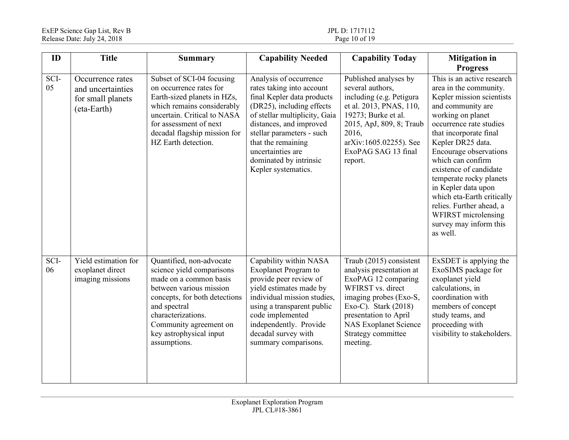| ID         | <b>Title</b>                                                              | <b>Summary</b>                                                                                                                                                                                                                                         | <b>Capability Needed</b>                                                                                                                                                                                                                                                                            | <b>Capability Today</b>                                                                                                                                                                                                                        | <b>Mitigation</b> in                                                                                                                                                                                                                                                                                                                                                                                                                                                       |
|------------|---------------------------------------------------------------------------|--------------------------------------------------------------------------------------------------------------------------------------------------------------------------------------------------------------------------------------------------------|-----------------------------------------------------------------------------------------------------------------------------------------------------------------------------------------------------------------------------------------------------------------------------------------------------|------------------------------------------------------------------------------------------------------------------------------------------------------------------------------------------------------------------------------------------------|----------------------------------------------------------------------------------------------------------------------------------------------------------------------------------------------------------------------------------------------------------------------------------------------------------------------------------------------------------------------------------------------------------------------------------------------------------------------------|
| SCI-<br>05 | Occurrence rates<br>and uncertainties<br>for small planets<br>(eta-Earth) | Subset of SCI-04 focusing<br>on occurrence rates for<br>Earth-sized planets in HZs,<br>which remains considerably<br>uncertain. Critical to NASA<br>for assessment of next<br>decadal flagship mission for<br>HZ Earth detection.                      | Analysis of occurrence<br>rates taking into account<br>final Kepler data products<br>(DR25), including effects<br>of stellar multiplicity, Gaia<br>distances, and improved<br>stellar parameters - such<br>that the remaining<br>uncertainties are<br>dominated by intrinsic<br>Kepler systematics. | Published analyses by<br>several authors,<br>including (e.g. Petigura<br>et al. 2013, PNAS, 110,<br>19273; Burke et al.<br>2015, ApJ, 809, 8; Traub<br>2016,<br>arXiv:1605.02255). See<br>ExoPAG SAG 13 final<br>report.                       | <b>Progress</b><br>This is an active research<br>area in the community.<br>Kepler mission scientists<br>and community are<br>working on planet<br>occurrence rate studies<br>that incorporate final<br>Kepler DR25 data.<br>Encourage observations<br>which can confirm<br>existence of candidate<br>temperate rocky planets<br>in Kepler data upon<br>which eta-Earth critically<br>relies. Further ahead, a<br>WFIRST microlensing<br>survey may inform this<br>as well. |
| SCI-<br>06 | Yield estimation for<br>exoplanet direct<br>imaging missions              | Quantified, non-advocate<br>science yield comparisons<br>made on a common basis<br>between various mission<br>concepts, for both detections<br>and spectral<br>characterizations.<br>Community agreement on<br>key astrophysical input<br>assumptions. | Capability within NASA<br><b>Exoplanet Program to</b><br>provide peer review of<br>yield estimates made by<br>individual mission studies,<br>using a transparent public<br>code implemented<br>independently. Provide<br>decadal survey with<br>summary comparisons.                                | Traub (2015) consistent<br>analysis presentation at<br>ExoPAG 12 comparing<br>WFIRST vs. direct<br>imaging probes (Exo-S,<br>Exo-C). Stark $(2018)$<br>presentation to April<br><b>NAS Exoplanet Science</b><br>Strategy committee<br>meeting. | ExSDET is applying the<br>ExoSIMS package for<br>exoplanet yield<br>calculations, in<br>coordination with<br>members of concept<br>study teams, and<br>proceeding with<br>visibility to stakeholders.                                                                                                                                                                                                                                                                      |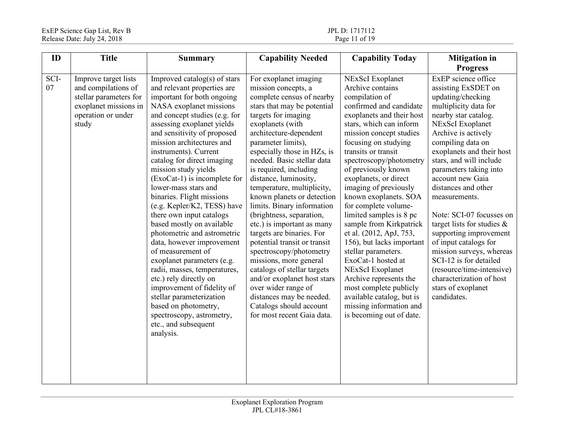| ID         | <b>Title</b>                                                                                                                  | <b>Summary</b>                                                                                                                                                                                                                                                                                                                                                                                                                                                                                                                                                                                                                                                                                                                                                                                                                             | <b>Capability Needed</b>                                                                                                                                                                                                                                                                                                                                                                                                                                                                                                                                                                                                                                                                                                                                            | <b>Capability Today</b>                                                                                                                                                                                                                                                                                                                                                                                                                                                                                                                                                                                                                                                                                | <b>Mitigation in</b>                                                                                                                                                                                                                                                                                                                                                                                                                                                                                                                                                                               |
|------------|-------------------------------------------------------------------------------------------------------------------------------|--------------------------------------------------------------------------------------------------------------------------------------------------------------------------------------------------------------------------------------------------------------------------------------------------------------------------------------------------------------------------------------------------------------------------------------------------------------------------------------------------------------------------------------------------------------------------------------------------------------------------------------------------------------------------------------------------------------------------------------------------------------------------------------------------------------------------------------------|---------------------------------------------------------------------------------------------------------------------------------------------------------------------------------------------------------------------------------------------------------------------------------------------------------------------------------------------------------------------------------------------------------------------------------------------------------------------------------------------------------------------------------------------------------------------------------------------------------------------------------------------------------------------------------------------------------------------------------------------------------------------|--------------------------------------------------------------------------------------------------------------------------------------------------------------------------------------------------------------------------------------------------------------------------------------------------------------------------------------------------------------------------------------------------------------------------------------------------------------------------------------------------------------------------------------------------------------------------------------------------------------------------------------------------------------------------------------------------------|----------------------------------------------------------------------------------------------------------------------------------------------------------------------------------------------------------------------------------------------------------------------------------------------------------------------------------------------------------------------------------------------------------------------------------------------------------------------------------------------------------------------------------------------------------------------------------------------------|
|            |                                                                                                                               |                                                                                                                                                                                                                                                                                                                                                                                                                                                                                                                                                                                                                                                                                                                                                                                                                                            |                                                                                                                                                                                                                                                                                                                                                                                                                                                                                                                                                                                                                                                                                                                                                                     |                                                                                                                                                                                                                                                                                                                                                                                                                                                                                                                                                                                                                                                                                                        | <b>Progress</b>                                                                                                                                                                                                                                                                                                                                                                                                                                                                                                                                                                                    |
| SCI-<br>07 | Improve target lists<br>and compilations of<br>stellar parameters for<br>exoplanet missions in<br>operation or under<br>study | Improved catalog(s) of stars<br>and relevant properties are<br>important for both ongoing<br>NASA exoplanet missions<br>and concept studies (e.g. for<br>assessing exoplanet yields<br>and sensitivity of proposed<br>mission architectures and<br>instruments). Current<br>catalog for direct imaging<br>mission study yields<br>$(ExoCat-1)$ is incomplete for<br>lower-mass stars and<br>binaries. Flight missions<br>(e.g. Kepler/K2, TESS) have<br>there own input catalogs<br>based mostly on available<br>photometric and astrometric<br>data, however improvement<br>of measurement of<br>exoplanet parameters (e.g.<br>radii, masses, temperatures,<br>etc.) rely directly on<br>improvement of fidelity of<br>stellar parameterization<br>based on photometry,<br>spectroscopy, astrometry,<br>etc., and subsequent<br>analysis. | For exoplanet imaging<br>mission concepts, a<br>complete census of nearby<br>stars that may be potential<br>targets for imaging<br>exoplanets (with<br>architecture-dependent<br>parameter limits),<br>especially those in HZs, is<br>needed. Basic stellar data<br>is required, including<br>distance, luminosity,<br>temperature, multiplicity,<br>known planets or detection<br>limits. Binary information<br>(brightness, separation,<br>etc.) is important as many<br>targets are binaries. For<br>potential transit or transit<br>spectroscopy/photometry<br>missions, more general<br>catalogs of stellar targets<br>and/or exoplanet host stars<br>over wider range of<br>distances may be needed.<br>Catalogs should account<br>for most recent Gaia data. | NExScI Exoplanet<br>Archive contains<br>compilation of<br>confirmed and candidate<br>exoplanets and their host<br>stars, which can inform<br>mission concept studies<br>focusing on studying<br>transits or transit<br>spectroscopy/photometry<br>of previously known<br>exoplanets, or direct<br>imaging of previously<br>known exoplanets. SOA<br>for complete volume-<br>limited samples is 8 pc<br>sample from Kirkpatrick<br>et al. (2012, ApJ, 753,<br>156), but lacks important<br>stellar parameters.<br>ExoCat-1 hosted at<br><b>NExScI</b> Exoplanet<br>Archive represents the<br>most complete publicly<br>available catalog, but is<br>missing information and<br>is becoming out of date. | ExEP science office<br>assisting ExSDET on<br>updating/checking<br>multiplicity data for<br>nearby star catalog.<br>NExScI Exoplanet<br>Archive is actively<br>compiling data on<br>exoplanets and their host<br>stars, and will include<br>parameters taking into<br>account new Gaia<br>distances and other<br>measurements.<br>Note: SCI-07 focusses on<br>target lists for studies $\&$<br>supporting improvement<br>of input catalogs for<br>mission surveys, whereas<br>SCI-12 is for detailed<br>(resource/time-intensive)<br>characterization of host<br>stars of exoplanet<br>candidates. |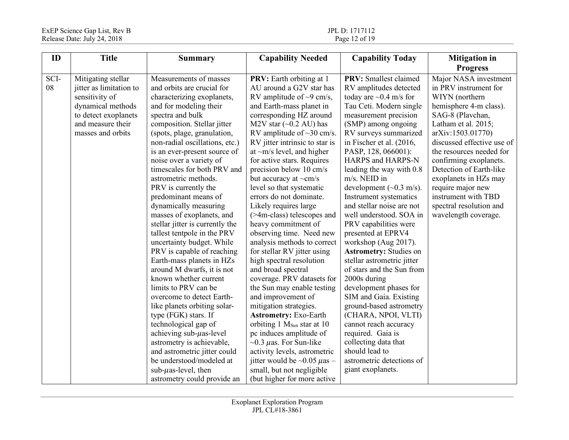| ID         | <b>Title</b>                                                                                                                                           | <b>Summary</b>                                                                                                                                                                                                                                                                                                                                                                                                                                                                                                                                                                                                                                                                                                                                                                                                                                                                                                                                                                                     | <b>Capability Needed</b>                                                                                                                                                                                                                                                                                                                                                                                                                                                                                                                                                                                                                                                                                                                                                                                                                                                                                                                                                                                                                                             | <b>Capability Today</b>                                                                                                                                                                                                                                                                                                                                                                                                                                                                                                                                                                                                                                                                                                                                                                                                                                                        | <b>Mitigation</b> in                                                                                                                                                                                                                                                                                                                                                                              |
|------------|--------------------------------------------------------------------------------------------------------------------------------------------------------|----------------------------------------------------------------------------------------------------------------------------------------------------------------------------------------------------------------------------------------------------------------------------------------------------------------------------------------------------------------------------------------------------------------------------------------------------------------------------------------------------------------------------------------------------------------------------------------------------------------------------------------------------------------------------------------------------------------------------------------------------------------------------------------------------------------------------------------------------------------------------------------------------------------------------------------------------------------------------------------------------|----------------------------------------------------------------------------------------------------------------------------------------------------------------------------------------------------------------------------------------------------------------------------------------------------------------------------------------------------------------------------------------------------------------------------------------------------------------------------------------------------------------------------------------------------------------------------------------------------------------------------------------------------------------------------------------------------------------------------------------------------------------------------------------------------------------------------------------------------------------------------------------------------------------------------------------------------------------------------------------------------------------------------------------------------------------------|--------------------------------------------------------------------------------------------------------------------------------------------------------------------------------------------------------------------------------------------------------------------------------------------------------------------------------------------------------------------------------------------------------------------------------------------------------------------------------------------------------------------------------------------------------------------------------------------------------------------------------------------------------------------------------------------------------------------------------------------------------------------------------------------------------------------------------------------------------------------------------|---------------------------------------------------------------------------------------------------------------------------------------------------------------------------------------------------------------------------------------------------------------------------------------------------------------------------------------------------------------------------------------------------|
|            |                                                                                                                                                        |                                                                                                                                                                                                                                                                                                                                                                                                                                                                                                                                                                                                                                                                                                                                                                                                                                                                                                                                                                                                    |                                                                                                                                                                                                                                                                                                                                                                                                                                                                                                                                                                                                                                                                                                                                                                                                                                                                                                                                                                                                                                                                      |                                                                                                                                                                                                                                                                                                                                                                                                                                                                                                                                                                                                                                                                                                                                                                                                                                                                                | <b>Progress</b>                                                                                                                                                                                                                                                                                                                                                                                   |
| SCI-<br>08 | Mitigating stellar<br>jitter as limitation to<br>sensitivity of<br>dynamical methods<br>to detect exoplanets<br>and measure their<br>masses and orbits | Measurements of masses<br>and orbits are crucial for<br>characterizing exoplanets,<br>and for modeling their<br>spectra and bulk<br>composition. Stellar jitter<br>(spots, plage, granulation,<br>non-radial oscillations, etc.)<br>is an ever-present source of<br>noise over a variety of<br>timescales for both PRV and<br>astrometric methods.<br>PRV is currently the<br>predominant means of<br>dynamically measuring<br>masses of exoplanets, and<br>stellar jitter is currently the<br>tallest tentpole in the PRV<br>uncertainty budget. While<br>PRV is capable of reaching<br>Earth-mass planets in HZs<br>around M dwarfs, it is not<br>known whether current<br>limits to PRV can be<br>overcome to detect Earth-<br>like planets orbiting solar-<br>type (FGK) stars. If<br>technological gap of<br>achieving $sub-\muas-level$<br>astrometry is achievable,<br>and astrometric jitter could<br>be understood/modeled at<br>sub- $\mu$ as-level, then<br>astrometry could provide an | <b>PRV:</b> Earth orbiting at 1<br>AU around a G2V star has<br>RV amplitude of $\sim$ 9 cm/s,<br>and Earth-mass planet in<br>corresponding HZ around<br>M2V star $(\sim 0.2 \text{ AU})$ has<br>RV amplitude of $\sim$ 30 cm/s.<br>RV jitter intrinsic to star is<br>at $\sim$ m/s level, and higher<br>for active stars. Requires<br>precision below 10 cm/s<br>but accuracy at $\sim$ cm/s<br>level so that systematic<br>errors do not dominate.<br>Likely requires large<br>(>4m-class) telescopes and<br>heavy commitment of<br>observing time. Need new<br>analysis methods to correct<br>for stellar RV jitter using<br>high spectral resolution<br>and broad spectral<br>coverage. PRV datasets for<br>the Sun may enable testing<br>and improvement of<br>mitigation strategies.<br><b>Astrometry: Exo-Earth</b><br>orbiting 1 M <sub>Sun</sub> star at 10<br>pc induces amplitude of<br>$\sim$ 0.3 µas. For Sun-like<br>activity levels, astrometric<br>jitter would be $\sim$ 0.05 $\mu$ as –<br>small, but not negligible<br>(but higher for more active | <b>PRV:</b> Smallest claimed<br>RV amplitudes detected<br>today are $\sim$ 0.4 m/s for<br>Tau Ceti. Modern single<br>measurement precision<br>(SMP) among ongoing<br>RV surveys summarized<br>in Fischer et al. (2016,<br>PASP, 128, 066001):<br>HARPS and HARPS-N<br>leading the way with 0.8<br>m/s. NEID in<br>development $({\sim}0.3 \text{ m/s})$ .<br>Instrument systematics<br>and stellar noise are not<br>well understood. SOA in<br>PRV capabilities were<br>presented at EPRV4<br>workshop (Aug 2017).<br><b>Astrometry: Studies on</b><br>stellar astrometric jitter<br>of stars and the Sun from<br>2000s during<br>development phases for<br>SIM and Gaia. Existing<br>ground-based astrometry<br>(CHARA, NPOI, VLTI)<br>cannot reach accuracy<br>required. Gaia is<br>collecting data that<br>should lead to<br>astrometric detections of<br>giant exoplanets. | Major NASA investment<br>in PRV instrument for<br>WIYN (northern<br>hemisphere 4-m class).<br>SAG-8 (Plavchan,<br>Latham et al. 2015;<br>arXiv:1503.01770)<br>discussed effective use of<br>the resources needed for<br>confirming exoplanets.<br>Detection of Earth-like<br>exoplanets in HZs may<br>require major new<br>instrument with TBD<br>spectral resolution and<br>wavelength coverage. |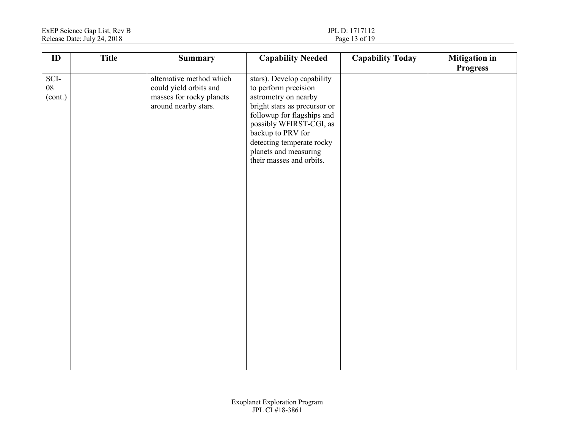| $\mathbf{ID}$                 | <b>Title</b> | <b>Summary</b>                                                                                         | <b>Capability Needed</b>                                                                                                                                                                                                                                                   | <b>Capability Today</b> | <b>Mitigation</b> in<br><b>Progress</b> |
|-------------------------------|--------------|--------------------------------------------------------------------------------------------------------|----------------------------------------------------------------------------------------------------------------------------------------------------------------------------------------------------------------------------------------------------------------------------|-------------------------|-----------------------------------------|
| SCI-<br>${\bf 08}$<br>(cont.) |              | alternative method which<br>could yield orbits and<br>masses for rocky planets<br>around nearby stars. | stars). Develop capability<br>to perform precision<br>astrometry on nearby<br>bright stars as precursor or<br>followup for flagships and<br>possibly WFIRST-CGI, as<br>backup to PRV for<br>detecting temperate rocky<br>planets and measuring<br>their masses and orbits. |                         |                                         |
|                               |              |                                                                                                        |                                                                                                                                                                                                                                                                            |                         |                                         |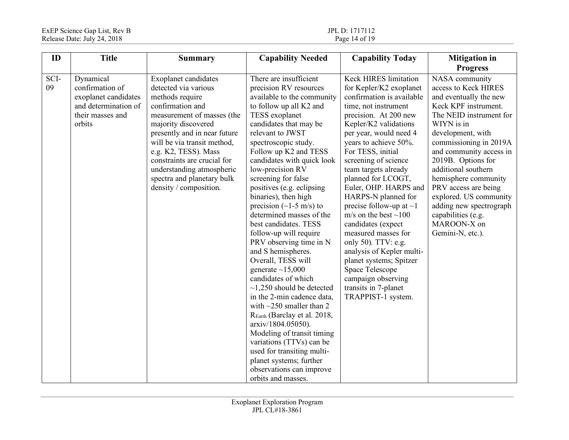| ID         | <b>Title</b>                                                                                               | <b>Summary</b>                                                                                                                                                                                                                                                                                                                                      | <b>Capability Needed</b>                                                                                                                                                                                                                                                                                                                                                                                                                                                                                                                                                                                                                                                                                                                                                                                                                                                                                                       | <b>Capability Today</b>                                                                                                                                                                                                                                                                                                                                                                                                                                                                                                                                                                                                                               | <b>Mitigation</b> in                                                                                                                                                                                                                                                                                                                                                                                                   |
|------------|------------------------------------------------------------------------------------------------------------|-----------------------------------------------------------------------------------------------------------------------------------------------------------------------------------------------------------------------------------------------------------------------------------------------------------------------------------------------------|--------------------------------------------------------------------------------------------------------------------------------------------------------------------------------------------------------------------------------------------------------------------------------------------------------------------------------------------------------------------------------------------------------------------------------------------------------------------------------------------------------------------------------------------------------------------------------------------------------------------------------------------------------------------------------------------------------------------------------------------------------------------------------------------------------------------------------------------------------------------------------------------------------------------------------|-------------------------------------------------------------------------------------------------------------------------------------------------------------------------------------------------------------------------------------------------------------------------------------------------------------------------------------------------------------------------------------------------------------------------------------------------------------------------------------------------------------------------------------------------------------------------------------------------------------------------------------------------------|------------------------------------------------------------------------------------------------------------------------------------------------------------------------------------------------------------------------------------------------------------------------------------------------------------------------------------------------------------------------------------------------------------------------|
|            |                                                                                                            |                                                                                                                                                                                                                                                                                                                                                     |                                                                                                                                                                                                                                                                                                                                                                                                                                                                                                                                                                                                                                                                                                                                                                                                                                                                                                                                |                                                                                                                                                                                                                                                                                                                                                                                                                                                                                                                                                                                                                                                       | <b>Progress</b>                                                                                                                                                                                                                                                                                                                                                                                                        |
| SCI-<br>09 | Dynamical<br>confirmation of<br>exoplanet candidates<br>and determination of<br>their masses and<br>orbits | Exoplanet candidates<br>detected via various<br>methods require<br>confirmation and<br>measurement of masses (the<br>majority discovered<br>presently and in near future<br>will be via transit method,<br>e.g. K2, TESS). Mass<br>constraints are crucial for<br>understanding atmospheric<br>spectra and planetary bulk<br>density / composition. | There are insufficient<br>precision RV resources<br>available to the community<br>to follow up all K2 and<br>TESS exoplanet<br>candidates that may be<br>relevant to JWST<br>spectroscopic study.<br>Follow up K2 and TESS<br>candidates with quick look<br>low-precision RV<br>screening for false<br>positives (e.g. eclipsing<br>binaries), then high<br>precision $(\sim 1-5$ m/s) to<br>determined masses of the<br>best candidates. TESS<br>follow-up will require<br>PRV observing time in N<br>and S hemispheres.<br>Overall, TESS will<br>generate $\sim$ 15,000<br>candidates of which<br>$\sim$ 1,250 should be detected<br>in the 2-min cadence data,<br>with $\sim$ 250 smaller than 2<br>REarth (Barclay et al. 2018,<br>arxiv/1804.05050).<br>Modeling of transit timing<br>variations (TTVs) can be<br>used for transiting multi-<br>planet systems; further<br>observations can improve<br>orbits and masses. | <b>Keck HIRES limitation</b><br>for Kepler/K2 exoplanet<br>confirmation is available<br>time, not instrument<br>precision. At 200 new<br>Kepler/K2 validations<br>per year, would need 4<br>years to achieve 50%.<br>For TESS, initial<br>screening of science<br>team targets already<br>planned for LCOGT,<br>Euler, OHP. HARPS and<br>HARPS-N planned for<br>precise follow-up at $\sim$ 1<br>m/s on the best $\sim$ 100<br>candidates (expect<br>measured masses for<br>only 50). TTV: e.g.<br>analysis of Kepler multi-<br>planet systems; Spitzer<br><b>Space Telescope</b><br>campaign observing<br>transits in 7-planet<br>TRAPPIST-1 system. | NASA community<br>access to Keck HIRES<br>and eventually the new<br>Keck KPF instrument.<br>The NEID instrument for<br>WIYN is in<br>development, with<br>commissioning in 2019A<br>and community access in<br>2019B. Options for<br>additional southern<br>hemisphere community<br>PRV access are being<br>explored. US community<br>adding new spectrograph<br>capabilities (e.g.<br>MAROON-X on<br>Gemini-N, etc.). |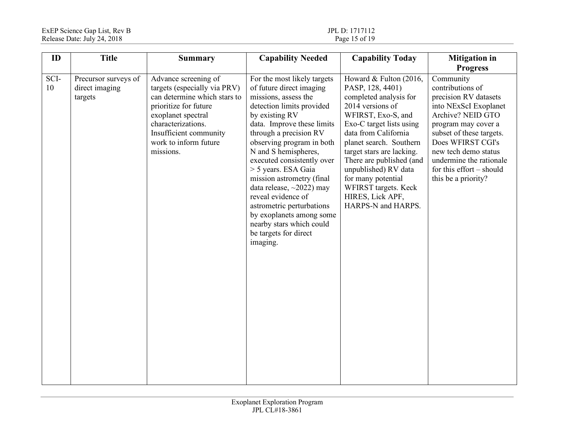| ID         | <b>Title</b>                                      | <b>Summary</b>                                                                                                                                                                                                            | <b>Capability Needed</b>                                                                                                                                                                                                                                                                                                                                                                                                                                                                                        | <b>Capability Today</b>                                                                                                                                                                                                                                                                                                                                                | <b>Mitigation</b> in                                                                                                                                                                                                                                                                                    |
|------------|---------------------------------------------------|---------------------------------------------------------------------------------------------------------------------------------------------------------------------------------------------------------------------------|-----------------------------------------------------------------------------------------------------------------------------------------------------------------------------------------------------------------------------------------------------------------------------------------------------------------------------------------------------------------------------------------------------------------------------------------------------------------------------------------------------------------|------------------------------------------------------------------------------------------------------------------------------------------------------------------------------------------------------------------------------------------------------------------------------------------------------------------------------------------------------------------------|---------------------------------------------------------------------------------------------------------------------------------------------------------------------------------------------------------------------------------------------------------------------------------------------------------|
| SCI-<br>10 | Precursor surveys of<br>direct imaging<br>targets | Advance screening of<br>targets (especially via PRV)<br>can determine which stars to<br>prioritize for future<br>exoplanet spectral<br>characterizations.<br>Insufficient community<br>work to inform future<br>missions. | For the most likely targets<br>of future direct imaging<br>missions, assess the<br>detection limits provided<br>by existing RV<br>data. Improve these limits<br>through a precision RV<br>observing program in both<br>N and S hemispheres,<br>executed consistently over<br>> 5 years. ESA Gaia<br>mission astrometry (final<br>data release, $\sim$ 2022) may<br>reveal evidence of<br>astrometric perturbations<br>by exoplanets among some<br>nearby stars which could<br>be targets for direct<br>imaging. | Howard & Fulton (2016,<br>PASP, 128, 4401)<br>completed analysis for<br>2014 versions of<br>WFIRST, Exo-S, and<br>Exo-C target lists using<br>data from California<br>planet search. Southern<br>target stars are lacking.<br>There are published (and<br>unpublished) RV data<br>for many potential<br>WFIRST targets. Keck<br>HIRES, Lick APF,<br>HARPS-N and HARPS. | <b>Progress</b><br>Community<br>contributions of<br>precision RV datasets<br>into NExScI Exoplanet<br>Archive? NEID GTO<br>program may cover a<br>subset of these targets.<br>Does WFIRST CGI's<br>new tech demo status<br>undermine the rationale<br>for this effort $-$ should<br>this be a priority? |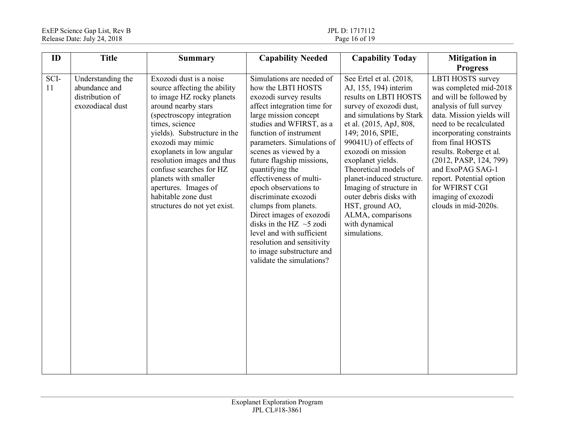| ID         | <b>Title</b>                                                              | <b>Summary</b>                                                                                                                                                                                                                                                                                                                                                                                               | <b>Capability Needed</b>                                                                                                                                                                                                                                                                                                                                                                                                                                                                                                                                                             | <b>Capability Today</b>                                                                                                                                                                                                                                                                                                                                                                                                                   | <b>Mitigation in</b>                                                                                                                                                                                                                                                                                                                                                                   |
|------------|---------------------------------------------------------------------------|--------------------------------------------------------------------------------------------------------------------------------------------------------------------------------------------------------------------------------------------------------------------------------------------------------------------------------------------------------------------------------------------------------------|--------------------------------------------------------------------------------------------------------------------------------------------------------------------------------------------------------------------------------------------------------------------------------------------------------------------------------------------------------------------------------------------------------------------------------------------------------------------------------------------------------------------------------------------------------------------------------------|-------------------------------------------------------------------------------------------------------------------------------------------------------------------------------------------------------------------------------------------------------------------------------------------------------------------------------------------------------------------------------------------------------------------------------------------|----------------------------------------------------------------------------------------------------------------------------------------------------------------------------------------------------------------------------------------------------------------------------------------------------------------------------------------------------------------------------------------|
|            |                                                                           |                                                                                                                                                                                                                                                                                                                                                                                                              |                                                                                                                                                                                                                                                                                                                                                                                                                                                                                                                                                                                      |                                                                                                                                                                                                                                                                                                                                                                                                                                           | <b>Progress</b>                                                                                                                                                                                                                                                                                                                                                                        |
| SCI-<br>11 | Understanding the<br>abundance and<br>distribution of<br>exozodiacal dust | Exozodi dust is a noise<br>source affecting the ability<br>to image HZ rocky planets<br>around nearby stars<br>(spectroscopy integration<br>times, science<br>yields). Substructure in the<br>exozodi may mimic<br>exoplanets in low angular<br>resolution images and thus<br>confuse searches for HZ<br>planets with smaller<br>apertures. Images of<br>habitable zone dust<br>structures do not yet exist. | Simulations are needed of<br>how the LBTI HOSTS<br>exozodi survey results<br>affect integration time for<br>large mission concept<br>studies and WFIRST, as a<br>function of instrument<br>parameters. Simulations of<br>scenes as viewed by a<br>future flagship missions,<br>quantifying the<br>effectiveness of multi-<br>epoch observations to<br>discriminate exozodi<br>clumps from planets.<br>Direct images of exozodi<br>disks in the HZ $\sim$ 5 zodi<br>level and with sufficient<br>resolution and sensitivity<br>to image substructure and<br>validate the simulations? | See Ertel et al. (2018,<br>AJ, 155, 194) interim<br>results on LBTI HOSTS<br>survey of exozodi dust,<br>and simulations by Stark<br>et al. (2015, ApJ, 808,<br>149; 2016, SPIE,<br>99041U) of effects of<br>exozodi on mission<br>exoplanet yields.<br>Theoretical models of<br>planet-induced structure.<br>Imaging of structure in<br>outer debris disks with<br>HST, ground AO,<br>ALMA, comparisons<br>with dynamical<br>simulations. | <b>LBTI HOSTS</b> survey<br>was completed mid-2018<br>and will be followed by<br>analysis of full survey<br>data. Mission yields will<br>need to be recalculated<br>incorporating constraints<br>from final HOSTS<br>results. Roberge et al.<br>(2012, PASP, 124, 799)<br>and ExoPAG SAG-1<br>report. Potential option<br>for WFIRST CGI<br>imaging of exozodi<br>clouds in mid-2020s. |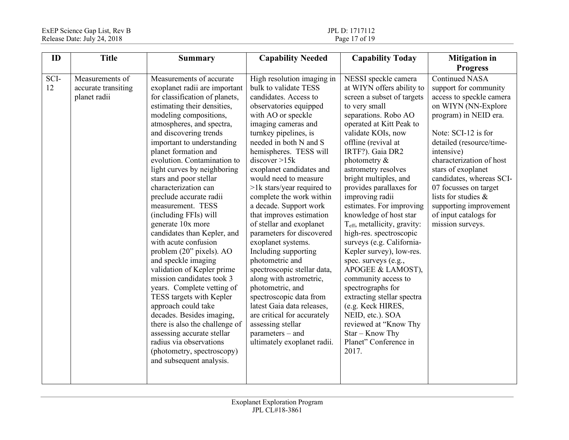| ID         | <b>Title</b>                                           | <b>Summary</b>                                                                                                                                                                                                                                                                                                                                                                                                                                                                                                                                                                                                                                                                                                                                                                                                                                                                                                          | <b>Capability Needed</b>                                                                                                                                                                                                                                                                                                                                                                                                                                                                                                                                                                                                                                                                                                                                                                            | <b>Capability Today</b>                                                                                                                                                                                                                                                                                                                                                                                                                                                                                                                                                                                                                                                                                                                                                    | <b>Mitigation</b> in<br><b>Progress</b>                                                                                                                                                                                                                                                                                                                                                          |
|------------|--------------------------------------------------------|-------------------------------------------------------------------------------------------------------------------------------------------------------------------------------------------------------------------------------------------------------------------------------------------------------------------------------------------------------------------------------------------------------------------------------------------------------------------------------------------------------------------------------------------------------------------------------------------------------------------------------------------------------------------------------------------------------------------------------------------------------------------------------------------------------------------------------------------------------------------------------------------------------------------------|-----------------------------------------------------------------------------------------------------------------------------------------------------------------------------------------------------------------------------------------------------------------------------------------------------------------------------------------------------------------------------------------------------------------------------------------------------------------------------------------------------------------------------------------------------------------------------------------------------------------------------------------------------------------------------------------------------------------------------------------------------------------------------------------------------|----------------------------------------------------------------------------------------------------------------------------------------------------------------------------------------------------------------------------------------------------------------------------------------------------------------------------------------------------------------------------------------------------------------------------------------------------------------------------------------------------------------------------------------------------------------------------------------------------------------------------------------------------------------------------------------------------------------------------------------------------------------------------|--------------------------------------------------------------------------------------------------------------------------------------------------------------------------------------------------------------------------------------------------------------------------------------------------------------------------------------------------------------------------------------------------|
| SCI-<br>12 | Measurements of<br>accurate transiting<br>planet radii | Measurements of accurate<br>exoplanet radii are important<br>for classification of planets,<br>estimating their densities,<br>modeling compositions,<br>atmospheres, and spectra,<br>and discovering trends<br>important to understanding<br>planet formation and<br>evolution. Contamination to<br>light curves by neighboring<br>stars and poor stellar<br>characterization can<br>preclude accurate radii<br>measurement. TESS<br>(including FFIs) will<br>generate 10x more<br>candidates than Kepler, and<br>with acute confusion<br>problem (20" pixels). AO<br>and speckle imaging<br>validation of Kepler prime<br>mission candidates took 3<br>years. Complete vetting of<br>TESS targets with Kepler<br>approach could take<br>decades. Besides imaging,<br>there is also the challenge of<br>assessing accurate stellar<br>radius via observations<br>(photometry, spectroscopy)<br>and subsequent analysis. | High resolution imaging in<br>bulk to validate TESS<br>candidates. Access to<br>observatories equipped<br>with AO or speckle<br>imaging cameras and<br>turnkey pipelines, is<br>needed in both N and S<br>hemispheres. TESS will<br>discover > 15k<br>exoplanet candidates and<br>would need to measure<br>$>1k$ stars/year required to<br>complete the work within<br>a decade. Support work<br>that improves estimation<br>of stellar and exoplanet<br>parameters for discovered<br>exoplanet systems.<br>Including supporting<br>photometric and<br>spectroscopic stellar data,<br>along with astrometric,<br>photometric, and<br>spectroscopic data from<br>latest Gaia data releases,<br>are critical for accurately<br>assessing stellar<br>$parameters - and$<br>ultimately exoplanet radii. | NESSI speckle camera<br>at WIYN offers ability to<br>screen a subset of targets<br>to very small<br>separations. Robo AO<br>operated at Kitt Peak to<br>validate KOIs, now<br>offline (revival at<br>IRTF?). Gaia DR2<br>photometry $\&$<br>astrometry resolves<br>bright multiples, and<br>provides parallaxes for<br>improving radii<br>estimates. For improving<br>knowledge of host star<br>T <sub>eff</sub> , metallicity, gravity:<br>high-res. spectroscopic<br>surveys (e.g. California-<br>Kepler survey), low-res.<br>spec. surveys (e.g.,<br>APOGEE & LAMOST),<br>community access to<br>spectrographs for<br>extracting stellar spectra<br>(e.g. Keck HIRES,<br>NEID, etc.). SOA<br>reviewed at "Know Thy<br>Star - Know Thy<br>Planet" Conference in<br>2017. | <b>Continued NASA</b><br>support for community<br>access to speckle camera<br>on WIYN (NN-Explore<br>program) in NEID era.<br>Note: SCI-12 is for<br>detailed (resource/time-<br>intensive)<br>characterization of host<br>stars of exoplanet<br>candidates, whereas SCI-<br>07 focusses on target<br>lists for studies &<br>supporting improvement<br>of input catalogs for<br>mission surveys. |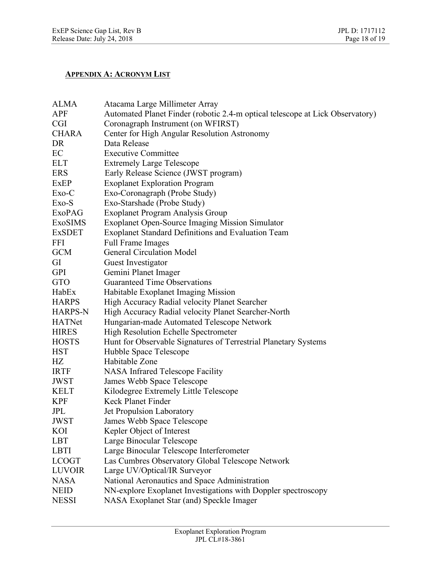## **APPENDIX A: ACRONYM LIST**

| <b>ALMA</b>    | Atacama Large Millimeter Array                                                |
|----------------|-------------------------------------------------------------------------------|
| <b>APF</b>     | Automated Planet Finder (robotic 2.4-m optical telescope at Lick Observatory) |
| <b>CGI</b>     | Coronagraph Instrument (on WFIRST)                                            |
| <b>CHARA</b>   | Center for High Angular Resolution Astronomy                                  |
| DR             | Data Release                                                                  |
| EC             | <b>Executive Committee</b>                                                    |
| <b>ELT</b>     | <b>Extremely Large Telescope</b>                                              |
| <b>ERS</b>     | Early Release Science (JWST program)                                          |
| <b>ExEP</b>    | <b>Exoplanet Exploration Program</b>                                          |
| Exo-C          | Exo-Coronagraph (Probe Study)                                                 |
| Exo-S          | Exo-Starshade (Probe Study)                                                   |
| <b>ExoPAG</b>  | Exoplanet Program Analysis Group                                              |
| <b>ExoSIMS</b> | <b>Exoplanet Open-Source Imaging Mission Simulator</b>                        |
| <b>ExSDET</b>  | <b>Exoplanet Standard Definitions and Evaluation Team</b>                     |
| <b>FFI</b>     | <b>Full Frame Images</b>                                                      |
| <b>GCM</b>     | <b>General Circulation Model</b>                                              |
| GI             | Guest Investigator                                                            |
| <b>GPI</b>     | Gemini Planet Imager                                                          |
| GTO            | Guaranteed Time Observations                                                  |
| HabEx          | Habitable Exoplanet Imaging Mission                                           |
| <b>HARPS</b>   | High Accuracy Radial velocity Planet Searcher                                 |
| <b>HARPS-N</b> | High Accuracy Radial velocity Planet Searcher-North                           |
| <b>HATNet</b>  | Hungarian-made Automated Telescope Network                                    |
| <b>HIRES</b>   | <b>High Resolution Echelle Spectrometer</b>                                   |
| <b>HOSTS</b>   | Hunt for Observable Signatures of Terrestrial Planetary Systems               |
| <b>HST</b>     | Hubble Space Telescope                                                        |
| HZ             | Habitable Zone                                                                |
| <b>IRTF</b>    | <b>NASA</b> Infrared Telescope Facility                                       |
| <b>JWST</b>    | James Webb Space Telescope                                                    |
| <b>KELT</b>    | Kilodegree Extremely Little Telescope                                         |
| <b>KPF</b>     | Keck Planet Finder                                                            |
| JPL            | Jet Propulsion Laboratory                                                     |
| <b>JWST</b>    | James Webb Space Telescope                                                    |
| KOI            | Kepler Object of Interest                                                     |
| <b>LBT</b>     | Large Binocular Telescope                                                     |
| <b>LBTI</b>    | Large Binocular Telescope Interferometer                                      |
| <b>LCOGT</b>   | Las Cumbres Observatory Global Telescope Network                              |
| <b>LUVOIR</b>  | Large UV/Optical/IR Surveyor                                                  |
| <b>NASA</b>    | National Aeronautics and Space Administration                                 |
| <b>NEID</b>    | NN-explore Exoplanet Investigations with Doppler spectroscopy                 |
| <b>NESSI</b>   | NASA Exoplanet Star (and) Speckle Imager                                      |
|                |                                                                               |